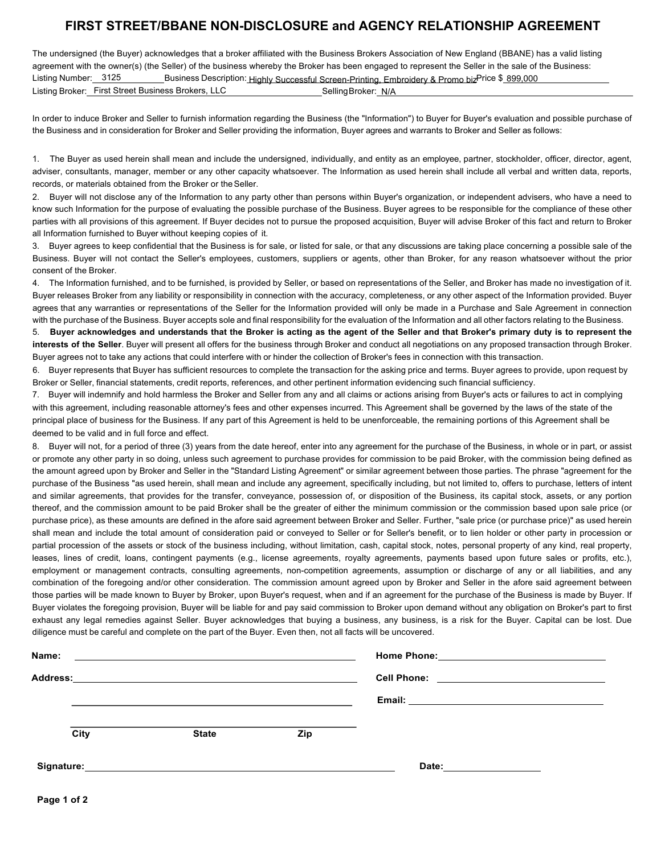## **FIRST STREET/BBANE NON-DISCLOSURE and AGENCY RELATIONSHIP AGREEMENT**

The undersigned (the Buyer) acknowledges that a broker affiliated with the Business Brokers Association of New England (BBANE) has a valid listing agreement with the owner(s) (the Seller) of the business whereby the Broker has been engaged to represent the Seller in the sale of the Business: Listing Number:\_\_3125\_\_\_\_\_\_\_\_\_\_\_Business Description: <u>Highly Successful Screen-Printing, Embroidery & Promo biz<sup>p</sup>rice \$\_899,000</u> Listing Broker:<u> First Street Business Brokers, LLC \_\_\_\_\_\_\_\_\_\_\_\_\_\_\_\_\_\_\_\_\_S</u>ellingBroker:<u>\_N/A</u>

In order to induce Broker and Seller to furnish information regarding the Business (the "Information") to Buyer for Buyer's evaluation and possible purchase of the Business and in consideration for Broker and Seller providing the information, Buyer agrees and warrants to Broker and Seller as follows:

1. The Buyer as used herein shall mean and include the undersigned, individually, and entity as an employee, partner, stockholder, officer, director, agent, adviser, consultants, manager, member or any other capacity whatsoever. The Information as used herein shall include all verbal and written data, reports, records, or materials obtained from the Broker or the Seller.

2. Buyer will not disclose any of the Information to any party other than persons within Buyer's organization, or independent advisers, who have a need to know such Information for the purpose of evaluating the possible purchase of the Business. Buyer agrees to be responsible for the compliance of these other parties with all provisions of this agreement. If Buyer decides not to pursue the proposed acquisition, Buyer will advise Broker of this fact and return to Broker all Information furnished to Buyer without keeping copies of it.

3. Buyer agrees to keep confidential that the Business is for sale, or listed for sale, or that any discussions are taking place concerning a possible sale of the Business. Buyer will not contact the Seller's employees, customers, suppliers or agents, other than Broker, for any reason whatsoever without the prior consent of the Broker.

4. The Information furnished, and to be furnished, is provided by Seller, or based on representations of the Seller, and Broker has made no investigation of it. Buyer releases Broker from any liability or responsibility in connection with the accuracy, completeness, or any other aspect of the Information provided. Buyer agrees that any warranties or representations of the Seller for the Information provided will only be made in a Purchase and Sale Agreement in connection with the purchase of the Business. Buyer accepts sole and final responsibility for the evaluation of the Information and all other factors relating to the Business.

5. **Buyer acknowledges and understands that the Broker is acting as the agent of the Seller and that Broker's primary duty is to represent the interests of the Seller**. Buyer will present all offers for the business through Broker and conduct all negotiations on any proposed transaction through Broker. Buyer agrees not to take any actions that could interfere with or hinder the collection of Broker's fees in connection with this transaction.

6. Buyer represents that Buyer has sufficient resources to complete the transaction for the asking price and terms. Buyer agrees to provide, upon request by Broker or Seller, financial statements, credit reports, references, and other pertinent information evidencing such financial sufficiency.

7. Buyer will indemnify and hold harmless the Broker and Seller from any and all claims or actions arising from Buyer's acts or failures to act in complying with this agreement, including reasonable attorney's fees and other expenses incurred. This Agreement shall be governed by the laws of the state of the principal place of business for the Business. If any part of this Agreement is held to be unenforceable, the remaining portions of this Agreement shall be deemed to be valid and in full force and effect.

8. Buyer will not, for a period of three (3) years from the date hereof, enter into any agreement for the purchase of the Business, in whole or in part, or assist or promote any other party in so doing, unless such agreement to purchase provides for commission to be paid Broker, with the commission being defined as the amount agreed upon by Broker and Seller in the "Standard Listing Agreement" or similar agreement between those parties. The phrase "agreement for the purchase of the Business "as used herein, shall mean and include any agreement, specifically including, but not limited to, offers to purchase, letters of intent and similar agreements, that provides for the transfer, conveyance, possession of, or disposition of the Business, its capital stock, assets, or any portion thereof, and the commission amount to be paid Broker shall be the greater of either the minimum commission or the commission based upon sale price (or purchase price), as these amounts are defined in the afore said agreement between Broker and Seller. Further, "sale price (or purchase price)" as used herein shall mean and include the total amount of consideration paid or conveyed to Seller or for Seller's benefit, or to lien holder or other party in procession or partial procession of the assets or stock of the business including, without limitation, cash, capital stock, notes, personal property of any kind, real property, leases, lines of credit, loans, contingent payments (e.g., license agreements, royalty agreements, payments based upon future sales or profits, etc.), employment or management contracts, consulting agreements, non-competition agreements, assumption or discharge of any or all liabilities, and any combination of the foregoing and/or other consideration. The commission amount agreed upon by Broker and Seller in the afore said agreement between those parties will be made known to Buyer by Broker, upon Buyer's request, when and if an agreement for the purchase of the Business is made by Buyer. If Buyer violates the foregoing provision, Buyer will be liable for and pay said commission to Broker upon demand without any obligation on Broker's part to first exhaust any legal remedies against Seller. Buyer acknowledges that buying a business, any business, is a risk for the Buyer. Capital can be lost. Due diligence must be careful and complete on the part of the Buyer. Even then, not all facts will be uncovered.

| Name:           |                                                                                                                                                                                                                                      |     |       |  |
|-----------------|--------------------------------------------------------------------------------------------------------------------------------------------------------------------------------------------------------------------------------------|-----|-------|--|
| <b>Address:</b> | <u> 1989 - Johann Stoff, amerikansk politiker (d. 1989)</u>                                                                                                                                                                          |     |       |  |
|                 |                                                                                                                                                                                                                                      |     |       |  |
| City            | <b>State</b>                                                                                                                                                                                                                         | Zip |       |  |
| Signature:      | <u>and the state of the state of the state of the state of the state of the state of the state of the state of the state of the state of the state of the state of the state of the state of the state of the state of the state</u> |     | Date: |  |